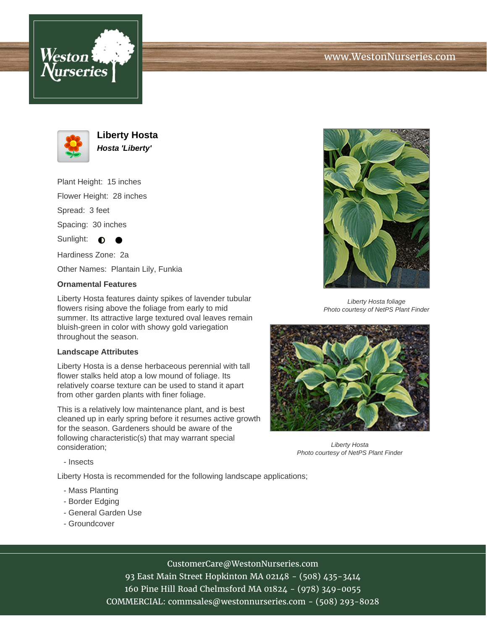



**Liberty Hosta Hosta 'Liberty'**

Plant Height: 15 inches Flower Height: 28 inches Spread: 3 feet

Spacing: 30 inches

Sunlight:  $\bigcirc$ 

Hardiness Zone: 2a

Other Names: Plantain Lily, Funkia

## **Ornamental Features**

Liberty Hosta features dainty spikes of lavender tubular flowers rising above the foliage from early to mid summer. Its attractive large textured oval leaves remain bluish-green in color with showy gold variegation throughout the season.

## **Landscape Attributes**

Liberty Hosta is a dense herbaceous perennial with tall flower stalks held atop a low mound of foliage. Its relatively coarse texture can be used to stand it apart from other garden plants with finer foliage.

This is a relatively low maintenance plant, and is best cleaned up in early spring before it resumes active growth for the season. Gardeners should be aware of the following characteristic(s) that may warrant special consideration;



Liberty Hosta foliage Photo courtesy of NetPS Plant Finder



Liberty Hosta Photo courtesy of NetPS Plant Finder

- Insects

Liberty Hosta is recommended for the following landscape applications;

- Mass Planting
- Border Edging
- General Garden Use
- Groundcover

CustomerCare@WestonNurseries.com

93 East Main Street Hopkinton MA 02148 - (508) 435-3414 160 Pine Hill Road Chelmsford MA 01824 - (978) 349-0055 COMMERCIAL: commsales@westonnurseries.com - (508) 293-8028